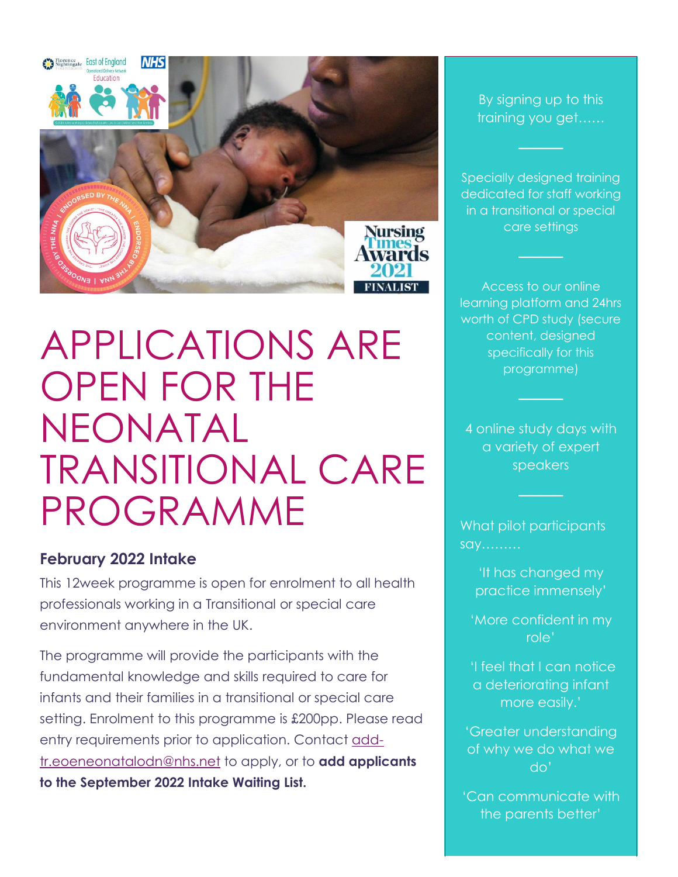

APPLICATIONS ARE OPEN FOR THE NEONATAL TRANSITIONAL CARE PROGRAMME

# **February 2022 Intake**

This 12week programme is open for enrolment to all health professionals working in a Transitional or special care environment anywhere in the UK.

The programme will provide the participants with the fundamental knowledge and skills required to care for infants and their families in a transitional or special care setting. Enrolment to this programme is £200pp. Please read entry requirements prior to application. Contact [add](mailto:add-tr.eoeneonatalodn@nhs.net)[tr.eoeneonatalodn@nhs.net](mailto:add-tr.eoeneonatalodn@nhs.net) to apply, or to **add applicants to the September 2022 Intake Waiting List.**

By signing up to this training you get……

Specially designed training dedicated for staff working in a transitional or special care settings

Access to our online learning platform and 24hrs worth of CPD study (secure content, designed specifically for this programme)

4 online study days with a variety of expert speakers

What pilot participants say………

> 'It has changed my practice immensely'

'More confident in my role'

'I feel that I can notice a deteriorating infant more easily.'

'Greater understanding of why we do what we do'

'Can communicate with the parents better'